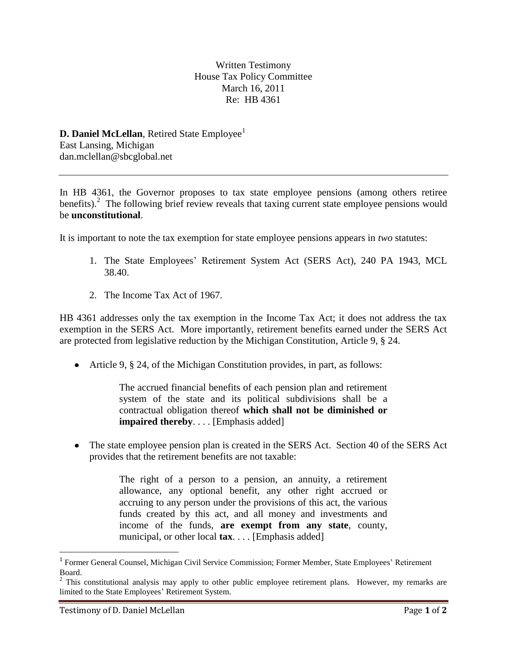Written Testimony House Tax Policy Committee March 16, 2011 Re: HB 4361

**D. Daniel McLellan**, Retired State Employee<sup>1</sup> East Lansing, Michigan dan.mclellan@sbcglobal.net

In HB 4361, the Governor proposes to tax state employee pensions (among others retiree benefits).<sup>2</sup> The following brief review reveals that taxing current state employee pensions would be **unconstitutional**.

It is important to note the tax exemption for state employee pensions appears in *two* statutes:

- 1. The State Employees' Retirement System Act (SERS Act), 240 PA 1943, MCL 38.40.
- 2. The Income Tax Act of 1967.

HB 4361 addresses only the tax exemption in the Income Tax Act; it does not address the tax exemption in the SERS Act. More importantly, retirement benefits earned under the SERS Act are protected from legislative reduction by the Michigan Constitution, Article 9, § 24.

Article 9, § 24, of the Michigan Constitution provides, in part, as follows:

The accrued financial benefits of each pension plan and retirement system of the state and its political subdivisions shall be a contractual obligation thereof **which shall not be diminished or impaired thereby**. . . . [Emphasis added]

• The state employee pension plan is created in the SERS Act. Section 40 of the SERS Act provides that the retirement benefits are not taxable:

> The right of a person to a pension, an annuity, a retirement allowance, any optional benefit, any other right accrued or accruing to any person under the provisions of this act, the various funds created by this act, and all money and investments and income of the funds, **are exempt from any state**, county, municipal, or other local **tax**. . . . [Emphasis added]

 $\overline{\phantom{a}}$ 

<sup>&</sup>lt;sup>1</sup> Former General Counsel, Michigan Civil Service Commission; Former Member, State Employees' Retirement Board.

 $2$  This constitutional analysis may apply to other public employee retirement plans. However, my remarks are limited to the State Employees' Retirement System.